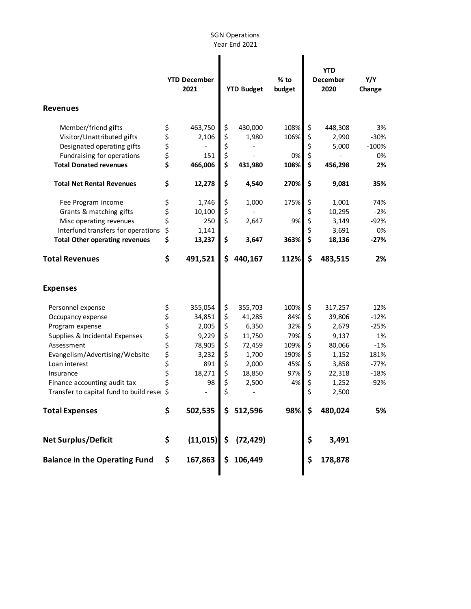## SGN Operations Year End 2021

| <b>Revenues</b>                         |        | <b>YTD December</b><br>2021 | <b>YTD Budget</b> | $%$ to<br>budget |    | <b>YTD</b><br>December<br>2020 | Y/Y<br>Change |
|-----------------------------------------|--------|-----------------------------|-------------------|------------------|----|--------------------------------|---------------|
| Member/friend gifts                     | \$     | 463,750                     | \$<br>430,000     | 108%             | \$ | 448,308                        | 3%            |
| Visitor/Unattributed gifts              | \$     | 2,106                       | \$<br>1,980       | 106%             | \$ | 2,990                          | $-30%$        |
| Designated operating gifts              | \$     |                             | \$                |                  | \$ | 5,000                          | $-100%$       |
| Fundraising for operations              | \$     | 151                         | \$                | 0%               | \$ |                                | 0%            |
| <b>Total Donated revenues</b>           | \$     | 466,006                     | \$<br>431,980     | 108%             | \$ | 456,298                        | 2%            |
| <b>Total Net Rental Revenues</b>        | \$     | 12,278                      | \$<br>4,540       | 270%             | \$ | 9,081                          | 35%           |
| Fee Program income                      | \$     | 1,746                       | \$<br>1,000       | 175%             | \$ | 1,001                          | 74%           |
| Grants & matching gifts                 | \$     | 10,100                      | \$                |                  | \$ | 10,295                         | $-2%$         |
| Misc operating revenues                 | \$     | 250                         | \$<br>2,647       | 9%               | \$ | 3,149                          | $-92%$        |
| Interfund transfers for operations      | \$     | 1,141                       |                   |                  | \$ | 3,691                          | 0%            |
| <b>Total Other operating revenues</b>   | \$     | 13,237                      | \$<br>3,647       | 363%             | \$ | 18,136                         | $-27%$        |
| <b>Total Revenues</b>                   | \$     | 491,521                     | \$<br>440,167     | 112%             | \$ | 483,515                        | 2%            |
| <b>Expenses</b>                         |        |                             |                   |                  |    |                                |               |
| Personnel expense                       | \$     | 355,054                     | \$<br>355,703     | 100%             | \$ | 317,257                        | 12%           |
| Occupancy expense                       | \$     | 34,851                      | \$<br>41,285      | 84%              | \$ | 39,806                         | $-12%$        |
| Program expense                         | \$     | 2,005                       | \$<br>6,350       | 32%              | \$ | 2,679                          | $-25%$        |
| Supplies & Incidental Expenses          | \$     | 9,229                       | \$<br>11,750      | 79%              | \$ | 9,137                          | 1%            |
| Assessment                              |        | 78,905                      | \$<br>72,459      | 109%             | \$ | 80,066                         | $-1%$         |
| Evangelism/Advertising/Website          | \$\$\$ | 3,232                       | \$<br>1,700       | 190%             | \$ | 1,152                          | 181%          |
| Loan interest                           |        | 891                         | \$<br>2,000       | 45%              | \$ | 3,858                          | $-77%$        |
| Insurance                               | \$     | 18,271                      | \$<br>18,850      | 97%              | \$ | 22,318                         | $-18%$        |
| Finance accounting audit tax            | \$     | 98                          | \$<br>2,500       | 4%               | \$ | 1,252                          | $-92%$        |
| Transfer to capital fund to build reser | \$     |                             | \$                |                  | \$ | 2,500                          |               |
| <b>Total Expenses</b>                   | \$     | 502,535                     | \$ 512,596        | 98%              | Ś. | 480,024                        | 5%            |
| <b>Net Surplus/Deficit</b>              | \$     | (11, 015)                   | \$<br>(72, 429)   |                  | \$ | 3,491                          |               |
| <b>Balance in the Operating Fund</b>    | \$     | 167,863                     | \$<br>106,449     |                  | \$ | 178,878                        |               |